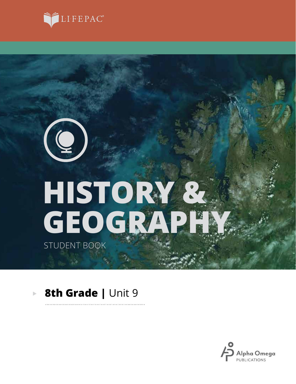

# **GEOGRAPHY HISTORY &**

STUDENT BOOK

 $\left( 0\right)$ 

#### **8th Grade |** Unit 9 $\mathbf{p}$

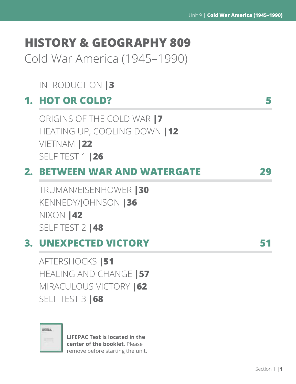# **HISTORY & GEOGRAPHY 809**

Cold War America (1945–1990)

## INTRODUCTION **|3**

## **1. HOT OR COLD? 5**

ORIGINS OF THE COLD WAR **|7** HEATING UP, COOLING DOWN **|12** VIETNAM **|22** SELF TEST 1 **|26**

# **2. BETWEEN WAR AND WATERGATE 29**

TRUMAN/EISENHOWER **|30** KENNEDY/JOHNSON **|36** NIXON **|42** SELF TEST 2 **|48**

# **3. UNEXPECTED VICTORY 51**

AFTERSHOCKS **|51** HEALING AND CHANGE **|57** MIRACULOUS VICTORY **|62** SELF TEST 3 **|68**

| ٠ | $\sim$ | x<br>÷<br>v |   |  |
|---|--------|-------------|---|--|
|   |        |             |   |  |
|   |        |             |   |  |
|   | ÷      |             | ٠ |  |
|   |        |             |   |  |

**LIFEPAC Test is located in the center of the booklet**. Please remove before starting the unit.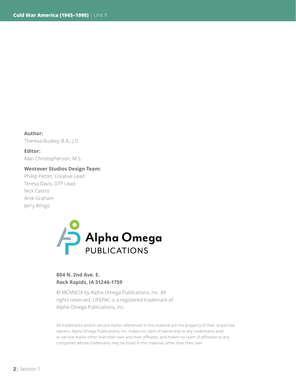**Author:**  Theresa Buskey, B.A., J.D.

**Editor:** Alan Christopherson, M.S.

**Westover Studios Design Team:** Phillip Pettet, Creative Lead Teresa Davis, DTP Lead

Nick Castro Andi Graham Jerry Wingo



## **804 N. 2nd Ave. E. Rock Rapids, IA 51246-1759**

© MCMXCIX by Alpha Omega Publications, Inc. All rights reserved. LIFEPAC is a registered trademark of Alpha Omega Publications, Inc.

All trademarks and/or service marks referenced in this material are the property of their respective owners. Alpha Omega Publications, Inc. makes no claim of ownership to any trademarks and/ or service marks other than their own and their affiliates, and makes no claim of affiliation to any companies whose trademarks may be listed in this material, other than their own.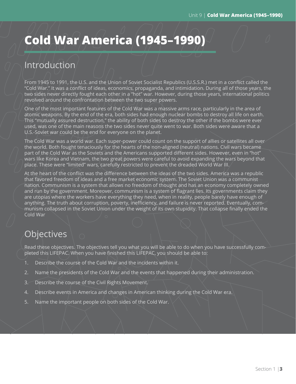# **Cold War America (1945–1990)**

## Introduction

From 1945 to 1991, the U.S. and the Union of Soviet Socialist Republics (U.S.S.R.) met in a conflict called the "Cold War." It was a conflict of ideas, economics, propaganda, and intimidation. During all of those years, the two sides never directly fought each other in a "hot" war. However, during those years, international politics revolved around the confrontation between the two super powers.

One of the most important features of the Cold War was a massive arms race, particularly in the area of atomic weapons. By the end of the era, both sides had enough nuclear bombs to destroy all life on earth. This "mutually assured destruction," the ability of both sides to destroy the other if the bombs were ever used, was one of the main reasons the two sides never quite went to war. Both sides were aware that a U.S.-Soviet war could be the end for everyone on the planet.

The Cold War was a world war. Each super-power could count on the support of allies or satellites all over the world. Both fought tenaciously for the hearts of the non-aligned (neutral) nations. Civil wars became part of the Cold War as the Soviets and the Americans supported different sides. However, even in "hot" wars like Korea and Vietnam, the two great powers were careful to avoid expanding the wars beyond that place. These were "limited" wars, carefully restricted to prevent the dreaded World War III.

At the heart of the conflict was the difference between the ideas of the two sides. America was a republic that favored freedom of ideas and a free market economic system. The Soviet Union was a communist nation. Communism is a system that allows no freedom of thought and has an economy completely owned and run by the government. Moreover, communism is a system of flagrant lies. Its governments claim they are utopias where the workers have everything they need, when in reality, people barely have enough of anything. The truth about corruption, poverty, inefficiency, and failure is never reported. Eventually, communism collapsed in the Soviet Union under the weight of its own stupidity. That collapse finally ended the Cold War

## Objectives

Read these objectives. The objectives tell you what you will be able to do when you have successfully completed this LIFEPAC. When you have finished this LIFEPAC, you should be able to:

- 1. Describe the course of the Cold War and the incidents within it.
- 2. Name the presidents of the Cold War and the events that happened during their administration.
- 3. Describe the course of the Civil Rights Movement.
- 4. Describe events in America and changes in American thinking during the Cold War era.
- 5. Name the important people on both sides of the Cold War.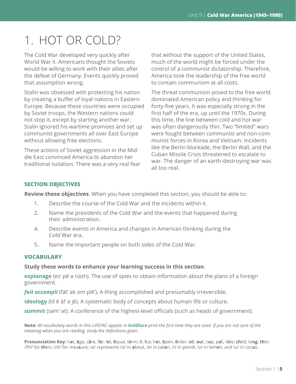# 1. HOT OR COLD?

The Cold War developed very quickly after World War II. Americans thought the Soviets would be willing to work with their allies after the defeat of Germany. Events quickly proved that assumption wrong.

Stalin was obsessed with protecting his nation by creating a buffer of loyal nations in Eastern Europe. Because these countries were occupied by Soviet troops, the Western nations could not stop it, except by starting another war. Stalin ignored his wartime promises and set up communist governments all over East Europe without allowing free elections.

These actions of Soviet aggression in the Middle East convinced America to abandon her traditional isolation. There was a very real fear that without the support of the United States, much of the world might be forced under the control of a communist dictatorship. Therefore, America took the leadership of the free world to contain communism at all costs.

The threat communism posed to the free world dominated American policy and thinking for forty-five years. It was especially strong in the first half of the era, up until the 1970s. During this time, the line between cold and hot war was often dangerously thin. Two "limited" wars were fought between communist and non-communist forces in Korea and Vietnam. Incidents like the Berlin blockade, the Berlin Wall, and the Cuban Missile Crisis threatened to escalate to war. The danger of an earth-destroying war was all too real.

#### **SECTION OBJECTIVES**

**Review these objectives**. When you have completed this section, you should be able to:

- 1. Describe the course of the Cold War and the incidents within it.
- 2. Name the presidents of the Cold War and the events that happened during their administration.
- 4. Describe events in America and changes in American thinking during the Cold War era.
- 5. Name the important people on both sides of the Cold War.

#### **VOCABULARY**

#### **Study these words to enhance your learning success in this section**.

**espionage** (es' pē ә näzh). The use of spies to obtain information about the plans of a foreign government.

*fait accompli* (fāt' ak om plē'). A thing accomplished and presumably irreversible.

**ideology** (īd ē äl' ә jē). A systematic body of concepts about human life or culture.

**summit** (sәm' әt). A conference of the highest-level officials (such as heads of government).

**Note:** *All vocabulary words in this LIFEPAC appear in* **boldface** *print the first time they are used. If you are not sure of the meaning when you are reading, study the definitions given.*

Pronunciation Key: hat, āge, cãre, fär; let, ēqual, tėrm; it, īce; hot, ōpen, ôrder; oil; out; cup, put, rüle; child; long; thin; /*ŦH*/ for **th**en; /*zh*/ for mea**s**ure; /ә/ represents /*a*/ in **a**bout, /*e*/ in tak**e**n, /*i*/ in penc**i**l, /*o*/ in lem**o**n, and /*u*/ in circ**u**s.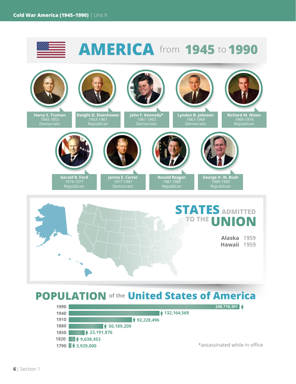

**1790 <sup>↑</sup>** 3,929,000 **1820 9,638,453**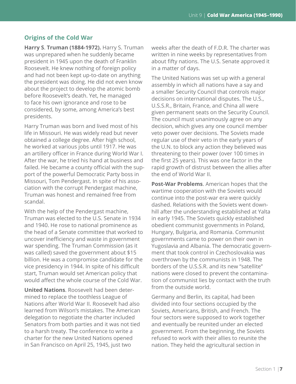## **Origins of the Cold War**

**Harry S**. **Truman (1884-1972).** Harry S. Truman was unprepared when he suddenly became president in 1945 upon the death of Franklin Roosevelt. He knew nothing of foreign policy and had not been kept up-to-date on anything the president was doing. He did not even know about the project to develop the atomic bomb before Roosevelt's death. Yet, he managed to face his own ignorance and rose to be considered, by some, among America's best presidents.

Harry Truman was born and lived most of his life in Missouri. He was widely read but never obtained a college degree. After high school, he worked at various jobs until 1917. He was an artillery officer in France during World War I. After the war, he tried his hand at business and failed. He became a county official with the support of the powerful Democratic Party boss in Missouri, Tom Pendergast. In spite of his association with the corrupt Pendergast machine, Truman was honest and remained free from scandal.

With the help of the Pendergast machine, Truman was elected to the U.S. Senate in 1934 and 1940. He rose to national prominence as the head of a Senate committee that worked to uncover inefficiency and waste in government war spending. The Truman Commission (as it was called) saved the government about \$15 billion. He was a compromise candidate for the vice presidency in 1944. In spite of his difficult start, Truman would set American policy that would affect the whole course of the Cold War.

**United Nations**. Roosevelt had been determined to replace the toothless League of Nations after World War II. Roosevelt had also learned from Wilson's mistakes. The American delegation to negotiate the charter included Senators from both parties and it was not tied to a harsh treaty. The conference to write a charter for the new United Nations opened in San Francisco on April 25, 1945, just two

weeks after the death of F.D.R. The charter was written in nine weeks by representatives from about fifty nations. The U.S. Senate approved it in a matter of days.

The United Nations was set up with a general assembly in which all nations have a say and a smaller Security Council that controls major decisions on international disputes. The U.S., U.S.S.R., Britain, France, and China all were given permanent seats on the Security Council. The council must unanimously agree on any decision, which gives any one council member veto power over decisions. The Soviets made regular use of their veto in the early years of the U.N. to block any action they believed was threatening to their power (over 100 times in the first 25 years). This was one factor in the rapid growth of distrust between the allies after the end of World War II.

**Post-War Problems**. American hopes that the wartime cooperation with the Soviets would continue into the post-war era were quickly dashed. Relations with the Soviets went downhill after the understanding established at Yalta in early 1945. The Soviets quickly established obedient communist governments in Poland, Hungary, Bulgaria, and Romania. Communist governments came to power on their own in Yugoslavia and Albania. The democratic government that took control in Czechoslovakia was overthrown by the communists in 1948. The borders of the U.S.S.R. and its new "satellite" nations were closed to prevent the contamination of communist lies by contact with the truth from the outside world.

Germany and Berlin, its capital, had been divided into four sections occupied by the Soviets, Americans, British, and French. The four sectors were supposed to work together and eventually be reunited under an elected government. From the beginning, the Soviets refused to work with their allies to reunite the nation. They held the agricultural section in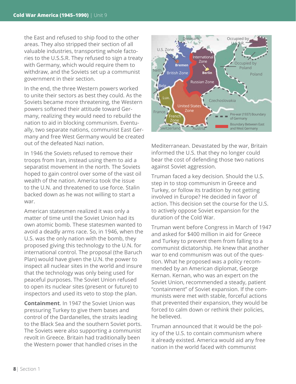the East and refused to ship food to the other areas. They also stripped their section of all valuable industries, transporting whole factories to the U.S.S.R. They refused to sign a treaty with Germany, which would require them to withdraw, and the Soviets set up a communist government in their section.

In the end, the three Western powers worked to unite their sectors as best they could. As the Soviets became more threatening, the Western powers softened their attitude toward Germany, realizing they would need to rebuild the nation to aid in blocking communism. Eventually, two separate nations, communist East Germany and free West Germany would be created out of the defeated Nazi nation.

In 1946 the Soviets refused to remove their troops from Iran, instead using them to aid a separatist movement in the north. The Soviets hoped to gain control over some of the vast oil wealth of the nation. America took the issue to the U.N. and threatened to use force. Stalin backed down as he was not willing to start a war.

American statesmen realized it was only a matter of time until the Soviet Union had its own atomic bomb. These statesmen wanted to avoid a deadly arms race. So, in 1946, when the U.S. was the only nation with the bomb, they proposed giving this technology to the U.N. for international control. The proposal (the Baruch Plan) would have given the U.N. the power to inspect all nuclear sites in the world and insure that the technology was only being used for peaceful purposes. The Soviet Union refused to open its nuclear sites (present or future) to inspectors and used its veto to stop the plan.

**Containment**. In 1947 the Soviet Union was pressuring Turkey to give them bases and control of the Dardanelles, the straits leading to the Black Sea and the southern Soviet ports. The Soviets were also supporting a communist revolt in Greece. Britain had traditionally been the Western power that handled crises in the



Mediterranean. Devastated by the war, Britain informed the U.S. that they no longer could bear the cost of defending those two nations against Soviet aggression.

Truman faced a key decision. Should the U.S. step in to stop communism in Greece and Turkey, or follow its tradition by not getting involved in Europe? He decided in favor of action. This decision set the course for the U.S. to actively oppose Soviet expansion for the duration of the Cold War.

Truman went before Congress in March of 1947 and asked for \$400 million in aid for Greece and Turkey to prevent them from falling to a communist dictatorship. He knew that another war to end communism was out of the question. What he proposed was a policy recommended by an American diplomat, George Kernan. Kernan, who was an expert on the Soviet Union, recommended a steady, patient "containment" of Soviet expansion. If the communists were met with stable, forceful actions that prevented their expansion, they would be forced to calm down or rethink their policies, he believed.

Truman announced that it would be the policy of the U.S. to contain communism where it already existed. America would aid any free nation in the world faced with communist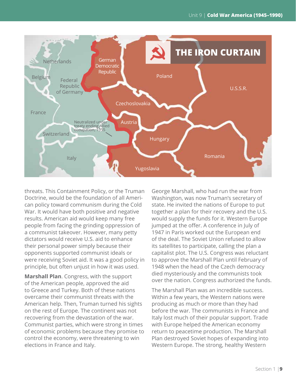

threats. This Containment Policy, or the Truman Doctrine, would be the foundation of all American policy toward communism during the Cold War. It would have both positive and negative results. American aid would keep many free people from facing the grinding oppression of a communist takeover. However, many petty dictators would receive U.S. aid to enhance their personal power simply because their opponents supported communist ideals or were receiving Soviet aid. It was a good policy in principle, but often unjust in how it was used.

**Marshall Plan**. Congress, with the support of the American people, approved the aid to Greece and Turkey. Both of these nations overcame their communist threats with the American help. Then, Truman turned his sights on the rest of Europe. The continent was not recovering from the devastation of the war. Communist parties, which were strong in times of economic problems because they promise to control the economy, were threatening to win elections in France and Italy.

George Marshall, who had run the war from Washington, was now Truman's secretary of state. He invited the nations of Europe to put together a plan for their recovery and the U.S. would supply the funds for it. Western Europe jumped at the offer. A conference in July of 1947 in Paris worked out the European end of the deal. The Soviet Union refused to allow its satellites to participate, calling the plan a capitalist plot. The U.S. Congress was reluctant to approve the Marshall Plan until February of 1948 when the head of the Czech democracy died mysteriously and the communists took over the nation. Congress authorized the funds.

The Marshall Plan was an incredible success. Within a few years, the Western nations were producing as much or more than they had before the war. The communists in France and Italy lost much of their popular support. Trade with Europe helped the American economy return to peacetime production. The Marshall Plan destroyed Soviet hopes of expanding into Western Europe. The strong, healthy Western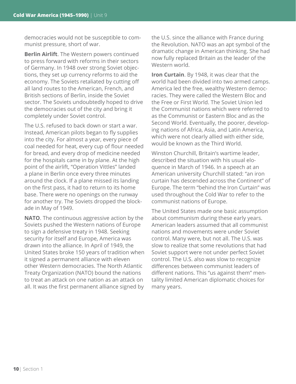democracies would not be susceptible to communist pressure, short of war.

**Berlin Airlift**. The Western powers continued to press forward with reforms in their sectors of Germany. In 1948 over strong Soviet objections, they set up currency reforms to aid the economy. The Soviets retaliated by cutting off all land routes to the American, French, and British sections of Berlin, inside the Soviet sector. The Soviets undoubtedly hoped to drive the democracies out of the city and bring it completely under Soviet control.

The U.S. refused to back down or start a war. Instead, American pilots began to fly supplies into the city. For almost a year, every piece of coal needed for heat, every cup of flour needed for bread, and every drop of medicine needed for the hospitals came in by plane. At the high point of the airlift, "Operation Vittles" landed a plane in Berlin once every three minutes around the clock. If a plane missed its landing on the first pass, it had to return to its home base. There were no openings on the runway for another try. The Soviets dropped the blockade in May of 1949.

**NATO**. The continuous aggressive action by the Soviets pushed the Western nations of Europe to sign a defensive treaty in 1948. Seeking security for itself and Europe, America was drawn into the alliance. In April of 1949, the United States broke 150 years of tradition when it signed a permanent alliance with eleven other Western democracies. The North Atlantic Treaty Organization (NATO) bound the nations to treat an attack on one nation as an attack on all. It was the first permanent alliance signed by

the U.S. since the alliance with France during the Revolution. NATO was an apt symbol of the dramatic change in American thinking. She had now fully replaced Britain as the leader of the Western world.

**Iron Curtain**. By 1948, it was clear that the world had been divided into two armed camps. America led the free, wealthy Western democracies. They were called the Western Bloc and the Free or First World. The Soviet Union led the Communist nations which were referred to as the Communist or Eastern Bloc and as the Second World. Eventually, the poorer, developing nations of Africa, Asia, and Latin America, which were not clearly allied with either side, would be known as the Third World.

Winston Churchill, Britain's wartime leader, described the situation with his usual eloquence in March of 1946. In a speech at an American university Churchill stated: "an iron curtain has descended across the Continent" of Europe. The term "behind the Iron Curtain" was used throughout the Cold War to refer to the communist nations of Europe.

The United States made one basic assumption about communism during these early years. American leaders assumed that all communist nations and movements were under Soviet control. Many were, but not all. The U.S. was slow to realize that some revolutions that had Soviet support were not under perfect Soviet control. The U.S. also was slow to recognize differences between communist leaders of different nations. This "us against them" mentality limited American diplomatic choices for many years.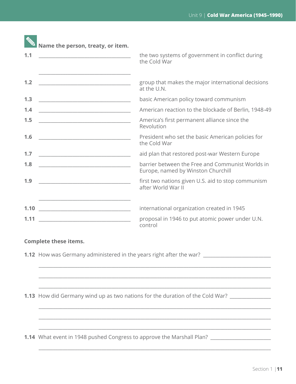| 1.1                                                                                                                                                                                                                                         | the two systems of government in conflict during                                        |
|---------------------------------------------------------------------------------------------------------------------------------------------------------------------------------------------------------------------------------------------|-----------------------------------------------------------------------------------------|
|                                                                                                                                                                                                                                             | the Cold War                                                                            |
| 1.2                                                                                                                                                                                                                                         | group that makes the major international decisions                                      |
|                                                                                                                                                                                                                                             | at the U.N.                                                                             |
| 1.3<br><u> 1989 - Johann John Harry Harry Harry Harry Harry Harry Harry Harry Harry Harry Harry Harry Harry Harry Harry Harry Harry Harry Harry Harry Harry Harry Harry Harry Harry Harry Harry Harry Harry Harry Harry Harry Harry Har</u> | basic American policy toward communism                                                  |
| 1.4                                                                                                                                                                                                                                         | American reaction to the blockade of Berlin, 1948-49                                    |
| 1.5                                                                                                                                                                                                                                         | America's first permanent alliance since the                                            |
| <u> 1980 - Johann Barbara, martxa alemaniar a</u>                                                                                                                                                                                           | Revolution                                                                              |
| 1.6                                                                                                                                                                                                                                         | President who set the basic American policies for                                       |
|                                                                                                                                                                                                                                             | the Cold War                                                                            |
| 1.7<br><u> 1980 - Johann John Harry Hermann (f. 1980)</u>                                                                                                                                                                                   | aid plan that restored post-war Western Europe                                          |
| 1.8                                                                                                                                                                                                                                         | barrier between the Free and Communist Worlds in                                        |
| <u> 1980 - Johann John Stone, mars eta biztanleria (</u>                                                                                                                                                                                    | Europe, named by Winston Churchill                                                      |
| 1.9                                                                                                                                                                                                                                         | first two nations given U.S. aid to stop communism                                      |
| <u> 1989 - Johann Barbara, martin amerikan basal dan berasal dalam basal dalam basal dalam basal dalam basal dala</u>                                                                                                                       | after World War II                                                                      |
| 1.10                                                                                                                                                                                                                                        | international organization created in 1945                                              |
| 1.11                                                                                                                                                                                                                                        | proposal in 1946 to put atomic power under U.N.                                         |
|                                                                                                                                                                                                                                             | control                                                                                 |
| <b>Complete these items.</b>                                                                                                                                                                                                                |                                                                                         |
|                                                                                                                                                                                                                                             | 1.12 How was Germany administered in the years right after the war? ___________________ |

**1.13** How did Germany wind up as two nations for the duration of the Cold War? \_\_\_\_\_\_\_\_\_\_\_\_\_

 $\_$  ,  $\_$  ,  $\_$  ,  $\_$  ,  $\_$  ,  $\_$  ,  $\_$  ,  $\_$  ,  $\_$  ,  $\_$  ,  $\_$  ,  $\_$  ,  $\_$  ,  $\_$  ,  $\_$  ,  $\_$  ,  $\_$  ,  $\_$  ,  $\_$  ,  $\_$ 

 $\_$  ,  $\_$  ,  $\_$  ,  $\_$  ,  $\_$  ,  $\_$  ,  $\_$  ,  $\_$  ,  $\_$  ,  $\_$  ,  $\_$  ,  $\_$  ,  $\_$  ,  $\_$  ,  $\_$  ,  $\_$  ,  $\_$  ,  $\_$  ,  $\_$  ,  $\_$ 

 $\_$  ,  $\_$  ,  $\_$  ,  $\_$  ,  $\_$  ,  $\_$  ,  $\_$  ,  $\_$  ,  $\_$  ,  $\_$  ,  $\_$  ,  $\_$  ,  $\_$  ,  $\_$  ,  $\_$  ,  $\_$  ,  $\_$  ,  $\_$  ,  $\_$  ,  $\_$ 

 $\_$  ,  $\_$  ,  $\_$  ,  $\_$  ,  $\_$  ,  $\_$  ,  $\_$  ,  $\_$  ,  $\_$  ,  $\_$  ,  $\_$  ,  $\_$  ,  $\_$  ,  $\_$  ,  $\_$  ,  $\_$  ,  $\_$  ,  $\_$  ,  $\_$  ,  $\_$ 

 $\_$  ,  $\_$  ,  $\_$  ,  $\_$  ,  $\_$  ,  $\_$  ,  $\_$  ,  $\_$  ,  $\_$  ,  $\_$  ,  $\_$  ,  $\_$  ,  $\_$  ,  $\_$  ,  $\_$  ,  $\_$  ,  $\_$  ,  $\_$  ,  $\_$  ,  $\_$ 

**1.14** What event in 1948 pushed Congress to approve the Marshall Plan? \_\_\_\_\_\_\_\_\_\_\_\_\_\_\_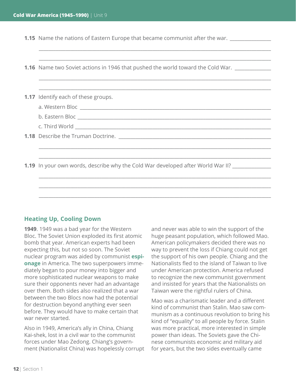**1.15** Name the nations of Eastern Europe that became communist after the war. \_\_\_\_\_\_\_

| <b>1.16</b> Name two Soviet actions in 1946 that pushed the world toward the Cold War.                                |
|-----------------------------------------------------------------------------------------------------------------------|
|                                                                                                                       |
|                                                                                                                       |
| <b>1.17</b> Identify each of these groups.                                                                            |
|                                                                                                                       |
|                                                                                                                       |
|                                                                                                                       |
|                                                                                                                       |
| ,我们也不会有什么。""我们的人,我们也不会有什么?""我们的人,我们也不会有什么?""我们的人,我们也不会有什么?""我们的人,我们也不会有什么?""我们的人                                      |
| <u> 1989 - Johann Stoff, amerikansk politiker (d. 1989)</u>                                                           |
| 1.19 In your own words, describe why the Cold War developed after World War II?                                       |
| <u> 1989 - Johann John Harry Barn, mars and deutscher Schwarzer und der Barn and der Barn and der Barn and der Ba</u> |
|                                                                                                                       |
|                                                                                                                       |
|                                                                                                                       |

 $\_$  ,  $\_$  ,  $\_$  ,  $\_$  ,  $\_$  ,  $\_$  ,  $\_$  ,  $\_$  ,  $\_$  ,  $\_$  ,  $\_$  ,  $\_$  ,  $\_$  ,  $\_$  ,  $\_$  ,  $\_$  ,  $\_$  ,  $\_$  ,  $\_$  ,  $\_$  ,  $\_$  ,  $\_$  ,  $\_$  ,  $\_$  ,  $\_$  ,  $\_$  ,  $\_$  ,  $\_$  ,  $\_$  ,  $\_$  ,  $\_$  ,  $\_$  ,  $\_$  ,  $\_$  ,  $\_$  ,  $\_$  ,  $\_$  ,

## **Heating Up, Cooling Down**

**1949**. 1949 was a bad year for the Western Bloc. The Soviet Union exploded its first atomic bomb that year. American experts had been expecting this, but not so soon. The Soviet nuclear program was aided by communist **espionage** in America. The two superpowers immediately began to pour money into bigger and more sophisticated nuclear weapons to make sure their opponents never had an advantage over them. Both sides also realized that a war between the two Blocs now had the potential for destruction beyond anything ever seen before. They would have to make certain that war never started.

Also in 1949, America's ally in China, Chiang Kai-shek, lost in a civil war to the communist forces under Mao Zedong. Chiang's government (Nationalist China) was hopelessly corrupt

and never was able to win the support of the huge peasant population, which followed Mao. American policymakers decided there was no way to prevent the loss if Chiang could not get the support of his own people. Chiang and the Nationalists fled to the island of Taiwan to live under American protection. America refused to recognize the new communist government and insisted for years that the Nationalists on Taiwan were the rightful rulers of China.

Mao was a charismatic leader and a different kind of communist than Stalin. Mao saw communism as a continuous revolution to bring his kind of "equality" to all people by force. Stalin was more practical, more interested in simple power than ideas. The Soviets gave the Chinese communists economic and military aid for years, but the two sides eventually came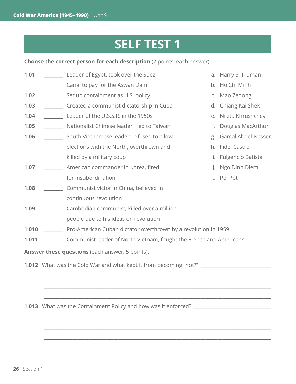# **SELF TEST 1**

**Choose the correct person for each description** (2 points, each answer).

| 1.01                                            |  | Leader of Egypt, took over the Suez                                               | a.                      | Harry S. Truman     |  |  |
|-------------------------------------------------|--|-----------------------------------------------------------------------------------|-------------------------|---------------------|--|--|
|                                                 |  | Canal to pay for the Aswan Dam                                                    | b.                      | Ho Chi Minh         |  |  |
| 1.02                                            |  | Set up containment as U.S. policy                                                 | C.                      | Mao Zedong          |  |  |
| 1.03                                            |  | Created a communist dictatorship in Cuba                                          | d.                      | Chiang Kai Shek     |  |  |
| 1.04                                            |  | Leader of the U.S.S.R. in the 1950s<br>е.                                         |                         | Nikita Khrushchev   |  |  |
| 1.05                                            |  | Nationalist Chinese leader, fled to Taiwan                                        | Douglas MacArthur<br>f. |                     |  |  |
| 1.06                                            |  | South Vietnamese leader, refused to allow                                         | g.                      | Gamal Abdel Nasser  |  |  |
|                                                 |  | elections with the North, overthrown and                                          | h.                      | <b>Fidel Castro</b> |  |  |
|                                                 |  | killed by a military coup                                                         | i.                      | Fulgencio Batista   |  |  |
| 1.07                                            |  | American commander in Korea, fired                                                | j.                      | Ngo Dinh Diem       |  |  |
|                                                 |  | for insubordination                                                               | k.                      | Pol Pot             |  |  |
| 1.08                                            |  | Communist victor in China, believed in                                            |                         |                     |  |  |
|                                                 |  | continuous revolution                                                             |                         |                     |  |  |
| 1.09                                            |  | Cambodian communist, killed over a million                                        |                         |                     |  |  |
|                                                 |  | people due to his ideas on revolution                                             |                         |                     |  |  |
| 1.010                                           |  | Pro-American Cuban dictator overthrown by a revolution in 1959                    |                         |                     |  |  |
| 1.011                                           |  | Communist leader of North Vietnam, fought the French and Americans                |                         |                     |  |  |
| Answer these questions (each answer, 5 points). |  |                                                                                   |                         |                     |  |  |
|                                                 |  | 1.012 What was the Cold War and what kept it from becoming "hot?" _______________ |                         |                     |  |  |
|                                                 |  |                                                                                   |                         |                     |  |  |
|                                                 |  |                                                                                   |                         |                     |  |  |
|                                                 |  |                                                                                   |                         |                     |  |  |

\_\_\_\_\_\_\_\_\_\_\_\_\_\_\_\_\_\_\_\_\_\_\_\_\_\_\_\_\_\_\_\_\_\_\_\_\_\_\_\_\_\_\_\_\_\_\_\_\_\_\_\_\_\_\_\_\_\_\_\_\_\_\_\_\_\_\_\_\_\_\_\_\_\_\_\_\_\_\_\_\_\_\_\_\_\_\_\_\_\_\_\_\_\_

\_\_\_\_\_\_\_\_\_\_\_\_\_\_\_\_\_\_\_\_\_\_\_\_\_\_\_\_\_\_\_\_\_\_\_\_\_\_\_\_\_\_\_\_\_\_\_\_\_\_\_\_\_\_\_\_\_\_\_\_\_\_\_\_\_\_\_\_\_\_\_\_\_\_\_\_\_\_\_\_\_\_\_\_\_\_\_\_\_\_\_\_\_\_

\_\_\_\_\_\_\_\_\_\_\_\_\_\_\_\_\_\_\_\_\_\_\_\_\_\_\_\_\_\_\_\_\_\_\_\_\_\_\_\_\_\_\_\_\_\_\_\_\_\_\_\_\_\_\_\_\_\_\_\_\_\_\_\_\_\_\_\_\_\_\_\_\_\_\_\_\_\_\_\_\_\_\_\_\_\_\_\_\_\_\_\_\_\_

**1.013** What was the Containment Policy and how was it enforced? \_\_\_\_\_\_\_\_\_\_\_\_\_\_\_\_\_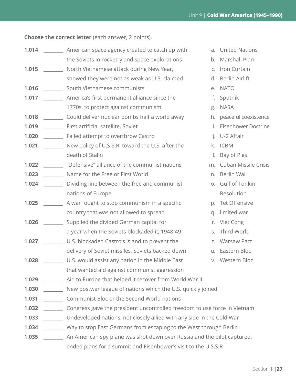**Choose the correct letter** (each answer, 2 points).

| 1.014 | American space agency created to catch up with<br>a. |                                                                          |    | <b>United Nations</b> |  |  |  |
|-------|------------------------------------------------------|--------------------------------------------------------------------------|----|-----------------------|--|--|--|
|       |                                                      | the Soviets in rocketry and space explorations                           | b. | Marshall Plan         |  |  |  |
| 1.015 |                                                      | North Vietnamese attack during New Year,                                 |    | c. Iron Curtain       |  |  |  |
|       |                                                      | showed they were not as weak as U.S. claimed                             | d. | Berlin Airlift        |  |  |  |
| 1.016 |                                                      | South Vietnamese communists                                              |    | e. NATO               |  |  |  |
| 1.017 | America's first permanent alliance since the         |                                                                          | f. | Sputnik               |  |  |  |
|       |                                                      | 1770s, to protect against communism                                      | g. | <b>NASA</b>           |  |  |  |
| 1.018 |                                                      | Could deliver nuclear bombs half a world away                            | h. | peaceful coexistence  |  |  |  |
| 1.019 |                                                      | First artificial satellite, Soviet                                       |    | Eisenhower Doctrine   |  |  |  |
| 1.020 |                                                      | Failed attempt to overthrow Castro                                       |    | U-2 Affair            |  |  |  |
| 1.021 |                                                      | New policy of U.S.S.R. toward the U.S. after the                         | k. | <b>ICBM</b>           |  |  |  |
|       |                                                      | death of Stalin                                                          |    | Bay of Pigs           |  |  |  |
| 1.022 |                                                      | "Defensive" alliance of the communist nations                            | m. | Cuban Missile Crisis  |  |  |  |
| 1.023 |                                                      | Name for the Free or First World                                         | n. | <b>Berlin Wall</b>    |  |  |  |
| 1.024 |                                                      | Dividing line between the free and communist                             |    | o. Gulf of Tonkin     |  |  |  |
|       |                                                      | nations of Europe                                                        |    | Resolution            |  |  |  |
| 1.025 |                                                      | A war fought to stop communism in a specific                             | p. | Tet Offensive         |  |  |  |
|       |                                                      | country that was not allowed to spread                                   | q. | limited war           |  |  |  |
| 1.026 |                                                      | Supplied the divided German capital for                                  | r. | Viet Cong             |  |  |  |
|       |                                                      | a year when the Soviets blockaded it, 1948-49                            | S. | Third World           |  |  |  |
| 1.027 |                                                      | U.S. blockaded Castro's island to prevent the                            | t. | <b>Warsaw Pact</b>    |  |  |  |
|       |                                                      | delivery of Soviet missiles, Soviets backed down                         |    | u. Eastern Bloc       |  |  |  |
| 1.028 |                                                      | U.S. would assist any nation in the Middle East                          |    | v. Western Bloc       |  |  |  |
|       |                                                      | that wanted aid against communist aggression                             |    |                       |  |  |  |
| 1.029 |                                                      | Aid to Europe that helped it recover from World War II                   |    |                       |  |  |  |
| 1.030 |                                                      | New postwar league of nations which the U.S. quickly joined              |    |                       |  |  |  |
| 1.031 |                                                      | Communist Bloc or the Second World nations                               |    |                       |  |  |  |
| 1.032 |                                                      | Congress gave the president uncontrolled freedom to use force in Vietnam |    |                       |  |  |  |
| 1.033 |                                                      | Undeveloped nations, not closely allied with any side in the Cold War    |    |                       |  |  |  |
| 1.034 |                                                      | Way to stop East Germans from escaping to the West through Berlin        |    |                       |  |  |  |
| 1.035 |                                                      | An American spy plane was shot down over Russia and the pilot captured,  |    |                       |  |  |  |
|       |                                                      | ended plans for a summit and Eisenhower's visit to the U.S.S.R           |    |                       |  |  |  |